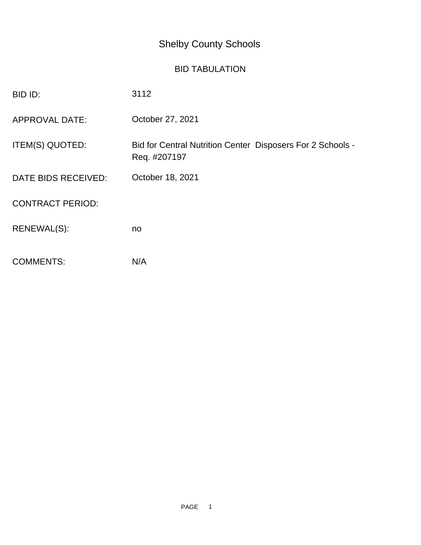## Shelby County Schools

## BID TABULATION

| BID ID:                 | 3112                                                                       |
|-------------------------|----------------------------------------------------------------------------|
| <b>APPROVAL DATE:</b>   | October 27, 2021                                                           |
| <b>ITEM(S) QUOTED:</b>  | Bid for Central Nutrition Center Disposers For 2 Schools -<br>Req. #207197 |
| DATE BIDS RECEIVED:     | October 18, 2021                                                           |
| <b>CONTRACT PERIOD:</b> |                                                                            |
| RENEWAL(S):             | no                                                                         |
| <b>COMMENTS:</b>        | N/A                                                                        |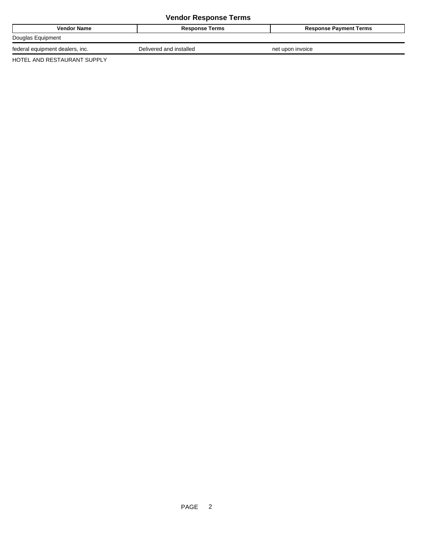## **Vendor Response Terms**

| Vendor Name                          | <b>Response Terms</b>   | <b>Response Payment Terms</b> |
|--------------------------------------|-------------------------|-------------------------------|
| Douglas Equipment                    |                         |                               |
| I equipment dealers, inc.<br>federal | Delivered and installed | net upon invoice              |

HOTEL AND RESTAURANT SUPPLY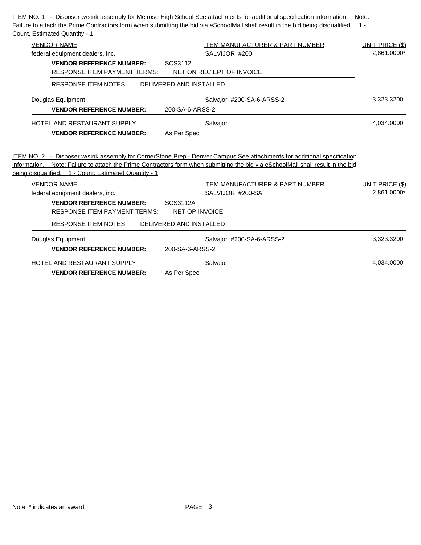| Count, Estimated Quantity - 1                                               | Failure to attach the Prime Contractors form when submitting the bid via eSchoolMall shall result in the bid being disqualified.                                              |                                       |
|-----------------------------------------------------------------------------|-------------------------------------------------------------------------------------------------------------------------------------------------------------------------------|---------------------------------------|
| <b>VENDOR NAME</b>                                                          | <b>ITEM MANUFACTURER &amp; PART NUMBER</b>                                                                                                                                    | <b>UNIT PRICE (\$)</b>                |
| federal equipment dealers, inc.                                             | SALVIJOR #200                                                                                                                                                                 | 2.861.0000*                           |
| <b>VENDOR REFERENCE NUMBER:</b>                                             | SCS3112                                                                                                                                                                       |                                       |
| <b>RESPONSE ITEM PAYMENT TERMS:</b>                                         | NET ON RECIEPT OF INVOICE                                                                                                                                                     |                                       |
| <b>RESPONSE ITEM NOTES:</b>                                                 | DELIVERED AND INSTALLED                                                                                                                                                       |                                       |
| Douglas Equipment                                                           | Salvajor #200-SA-6-ARSS-2                                                                                                                                                     | 3,323.3200                            |
| <b>VENDOR REFERENCE NUMBER:</b>                                             | 200-SA-6-ARSS-2                                                                                                                                                               |                                       |
| HOTEL AND RESTAURANT SUPPLY                                                 | Salvajor                                                                                                                                                                      | 4.034.0000                            |
| <b>VENDOR REFERENCE NUMBER:</b>                                             | As Per Spec                                                                                                                                                                   |                                       |
|                                                                             | ITEM NO. 2 - Disposer w/sink assembly for CornerStone Prep - Denver Campus See attachments for additional specification                                                       |                                       |
| being disqualified. 1 - Count, Estimated Quantity - 1<br><b>VENDOR NAME</b> | information. Note: Failure to attach the Prime Contractors form when submitting the bid via eSchoolMall shall result in the bid<br><b>ITEM MANUFACTURER &amp; PART NUMBER</b> |                                       |
| federal equipment dealers, inc.                                             | SALVIJOR #200-SA                                                                                                                                                              |                                       |
| <b>VENDOR REFERENCE NUMBER:</b><br><b>RESPONSE ITEM PAYMENT TERMS:</b>      | <b>SCS3112A</b><br><b>NET OP INVOICE</b>                                                                                                                                      |                                       |
| <b>RESPONSE ITEM NOTES:</b>                                                 | DELIVERED AND INSTALLED                                                                                                                                                       |                                       |
| Douglas Equipment                                                           | Salvajor #200-SA-6-ARSS-2                                                                                                                                                     | 3,323.3200                            |
| <b>VENDOR REFERENCE NUMBER:</b>                                             | 200-SA-6-ARSS-2                                                                                                                                                               | <b>UNIT PRICE (\$)</b><br>2,861.0000* |
| <b>HOTEL AND RESTAURANT SUPPLY</b>                                          | Salvajor                                                                                                                                                                      | 4,034.0000                            |